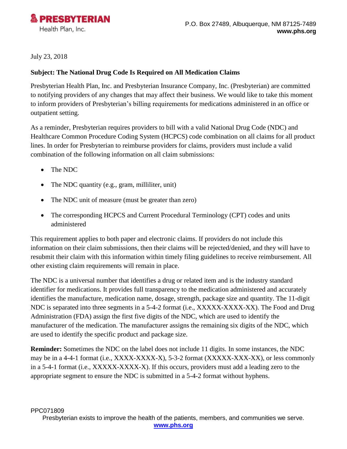

## July 23, 2018

### **Subject: The National Drug Code Is Required on All Medication Claims**

Presbyterian Health Plan, Inc. and Presbyterian Insurance Company, Inc. (Presbyterian) are committed to notifying providers of any changes that may affect their business. We would like to take this moment to inform providers of Presbyterian's billing requirements for medications administered in an office or outpatient setting.

As a reminder, Presbyterian requires providers to bill with a valid National Drug Code (NDC) and Healthcare Common Procedure Coding System (HCPCS) code combination on all claims for all product lines. In order for Presbyterian to reimburse providers for claims, providers must include a valid combination of the following information on all claim submissions:

- The NDC
- The NDC quantity (e.g., gram, milliliter, unit)
- The NDC unit of measure (must be greater than zero)
- The corresponding HCPCS and Current Procedural Terminology (CPT) codes and units administered

This requirement applies to both paper and electronic claims. If providers do not include this information on their claim submissions, then their claims will be rejected/denied, and they will have to resubmit their claim with this information within timely filing guidelines to receive reimbursement. All other existing claim requirements will remain in place.

The NDC is a universal number that identifies a drug or related item and is the industry standard identifier for medications. It provides full transparency to the medication administered and accurately identifies the manufacture, medication name, dosage, strength, package size and quantity. The 11-digit NDC is separated into three segments in a 5-4-2 format (i.e., XXXXX-XXXX-XX). The Food and Drug Administration (FDA) assign the first five digits of the NDC, which are used to identify the manufacturer of the medication. The manufacturer assigns the remaining six digits of the NDC, which are used to identify the specific product and package size.

**Reminder:** Sometimes the NDC on the label does not include 11 digits. In some instances, the NDC may be in a 4-4-1 format (i.e., XXXX-XXXX-X), 5-3-2 format (XXXXX-XXX-XX), or less commonly in a 5-4-1 format (i.e., XXXXX-XXXX-X). If this occurs, providers must add a leading zero to the appropriate segment to ensure the NDC is submitted in a 5-4-2 format without hyphens.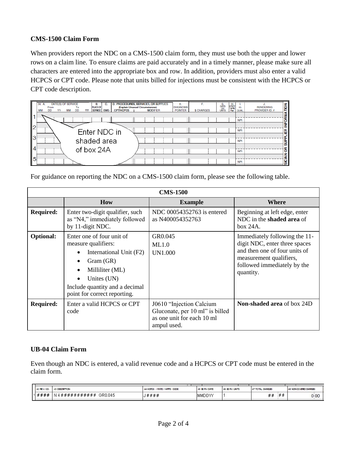### **CMS-1500 Claim Form**

When providers report the NDC on a CMS-1500 claim form, they must use both the upper and lower rows on a claim line. To ensure claims are paid accurately and in a timely manner, please make sure all characters are entered into the appropriate box and row. In addition, providers must also enter a valid HCPCS or CPT code. Please note that units billed for injections must be consistent with the HCPCS or CPT code description.

|   | D. PROCEDURES, SERVICES, OR SUPPLIES<br>DATE(S) OF SERVICE<br>24. A.<br>В.<br>(Explain Unusual Circumstances)<br><b>PLACE OF</b><br><b>From</b><br>To<br><b>EMG</b><br><b>CPT/HCPCS</b><br><b>SERVICE</b><br><b>MODIFIER</b><br>MM<br>MМ<br><b>DD</b><br><b>DD</b> | Е.<br>G.<br>DAYS<br>UNTS<br><b>DIAGNOSIS</b><br>\$ CHARGES<br><b>POINTER</b> | $\begin{array}{c}\nH.\n\hline\n\text{Fay} \\ \hline\n\text{Fay} \\ \hline\n\text{Pim}\n\end{array}$<br>ID.<br>QUAL | <b>PONT</b><br><b>RENDERING</b><br>PROVIDER ID. # |
|---|--------------------------------------------------------------------------------------------------------------------------------------------------------------------------------------------------------------------------------------------------------------------|------------------------------------------------------------------------------|--------------------------------------------------------------------------------------------------------------------|---------------------------------------------------|
|   |                                                                                                                                                                                                                                                                    |                                                                              | <b>NPI</b>                                                                                                         | <b>DRM</b>                                        |
| 2 | Enter NDC in                                                                                                                                                                                                                                                       |                                                                              | <b>NPI</b>                                                                                                         | Ž<br>Æ                                            |
|   | shaded area                                                                                                                                                                                                                                                        |                                                                              | <b>NPI</b>                                                                                                         | <b>SUPPLI</b>                                     |
| 4 | of box 24A                                                                                                                                                                                                                                                         |                                                                              | <b>NPI</b>                                                                                                         | g                                                 |
| 5 |                                                                                                                                                                                                                                                                    |                                                                              | <b>NPI</b>                                                                                                         | <b>SIC</b>                                        |

For guidance on reporting the NDC on a CMS-1500 claim form, please see the following table.

| <b>CMS-1500</b>  |                                                                                                                                                                                                                                    |                                                                                                          |                                                                                                                                                                        |  |
|------------------|------------------------------------------------------------------------------------------------------------------------------------------------------------------------------------------------------------------------------------|----------------------------------------------------------------------------------------------------------|------------------------------------------------------------------------------------------------------------------------------------------------------------------------|--|
|                  | <b>How</b>                                                                                                                                                                                                                         | <b>Example</b>                                                                                           | Where                                                                                                                                                                  |  |
| <b>Required:</b> | Enter two-digit qualifier, such<br>as "N4," immediately followed<br>by 11-digit NDC.                                                                                                                                               | NDC 00054352763 is entered<br>as N400054352763                                                           | Beginning at left edge, enter<br>NDC in the shaded area of<br>box 24A.                                                                                                 |  |
| <b>Optional:</b> | Enter one of four unit of<br>measure qualifiers:<br>International Unit (F2)<br>$\bullet$<br>Gram(GR)<br>Milliliter (ML)<br>$\bullet$<br>Unites (UN)<br>$\bullet$<br>Include quantity and a decimal<br>point for correct reporting. | GR0.045<br>ML1.0<br>UN1.000                                                                              | Immediately following the 11-<br>digit NDC, enter three spaces<br>and then one of four units of<br>measurement qualifiers,<br>followed immediately by the<br>quantity. |  |
| <b>Required:</b> | Enter a valid HCPCS or CPT<br>code                                                                                                                                                                                                 | J0610 "Injection Calcium<br>Gluconate, per 10 ml" is billed<br>as one unit for each 10 ml<br>ampul used. | Non-shaded area of box 24D                                                                                                                                             |  |

### **UB-04 Claim Form**

Even though an NDC is entered, a valid revenue code and a HCPCS or CPT code must be entered in the claim form.

| 42 REV. CD. | 43 DEKORPTION                                    | 44 HOPOS / RATE / HIPPS CODE | 45 年RV.DATE | 46 SERV. UNIT | 47 TOTAL GWACED | 48 NON-COVERED CHARCEEL |
|-------------|--------------------------------------------------|------------------------------|-------------|---------------|-----------------|-------------------------|
|             | $ 1$ # # # #   N 4 # # # # # # # # # # + 6R0.045 | J # # # #                    | MMDDYY      |               | :##<br>##       | 0:00                    |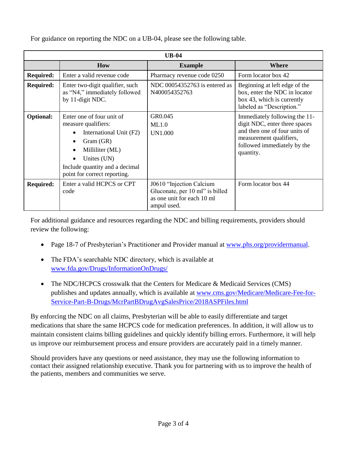| $UB-04$          |                                                                                                                                                                                                                                    |                                                                                                           |                                                                                                                                                                        |  |
|------------------|------------------------------------------------------------------------------------------------------------------------------------------------------------------------------------------------------------------------------------|-----------------------------------------------------------------------------------------------------------|------------------------------------------------------------------------------------------------------------------------------------------------------------------------|--|
|                  | <b>How</b>                                                                                                                                                                                                                         | <b>Example</b>                                                                                            | Where                                                                                                                                                                  |  |
| <b>Required:</b> | Enter a valid revenue code                                                                                                                                                                                                         | Pharmacy revenue code 0250                                                                                | Form locator box 42                                                                                                                                                    |  |
| <b>Required:</b> | Enter two-digit qualifier, such<br>as "N4," immediately followed<br>by 11-digit NDC.                                                                                                                                               | NDC 00054352763 is entered as<br>N400054352763                                                            | Beginning at left edge of the<br>box, enter the NDC in locator<br>box 43, which is currently<br>labeled as "Description."                                              |  |
| <b>Optional:</b> | Enter one of four unit of<br>measure qualifiers:<br>International Unit (F2)<br>$\bullet$<br>Gram(GR)<br>Milliliter (ML)<br>$\bullet$<br>Unites (UN)<br>$\bullet$<br>Include quantity and a decimal<br>point for correct reporting. | GR0.045<br>ML1.0<br>UN1.000                                                                               | Immediately following the 11-<br>digit NDC, enter three spaces<br>and then one of four units of<br>measurement qualifiers,<br>followed immediately by the<br>quantity. |  |
| <b>Required:</b> | Enter a valid HCPCS or CPT<br>code                                                                                                                                                                                                 | J0610 "Injection Calcium"<br>Gluconate, per 10 ml" is billed<br>as one unit for each 10 ml<br>ampul used. | Form locator box 44                                                                                                                                                    |  |

For guidance on reporting the NDC on a UB-04, please see the following table.

For additional guidance and resources regarding the NDC and billing requirements, providers should review the following:

- Page 18-7 of Presbyterian's Practitioner and Provider manual at [www.phs.org/providermanual.](http://www.phs.org/providermanual)
- The FDA's searchable NDC directory, which is available at [www.fda.gov/Drugs/InformationOnDrugs/](http://www.fda.gov/Drugs/InformationOnDrugs/)
- The NDC/HCPCS crosswalk that the Centers for Medicare & Medicaid Services (CMS) publishes and updates annually, which is available at [www.cms.gov/Medicare/Medicare-Fee-for-](http://www.cms.gov/Medicare/Medicare-Fee-for-Service-Part-B-Drugs/McrPartBDrugAvgSalesPrice/2018ASPFiles.html)[Service-Part-B-Drugs/McrPartBDrugAvgSalesPrice/2018ASPFiles.html](http://www.cms.gov/Medicare/Medicare-Fee-for-Service-Part-B-Drugs/McrPartBDrugAvgSalesPrice/2018ASPFiles.html)

By enforcing the NDC on all claims, Presbyterian will be able to easily differentiate and target medications that share the same HCPCS code for medication preferences. In addition, it will allow us to maintain consistent claims billing guidelines and quickly identify billing errors. Furthermore, it will help us improve our reimbursement process and ensure providers are accurately paid in a timely manner.

Should providers have any questions or need assistance, they may use the following information to contact their assigned relationship executive. Thank you for partnering with us to improve the health of the patients, members and communities we serve.